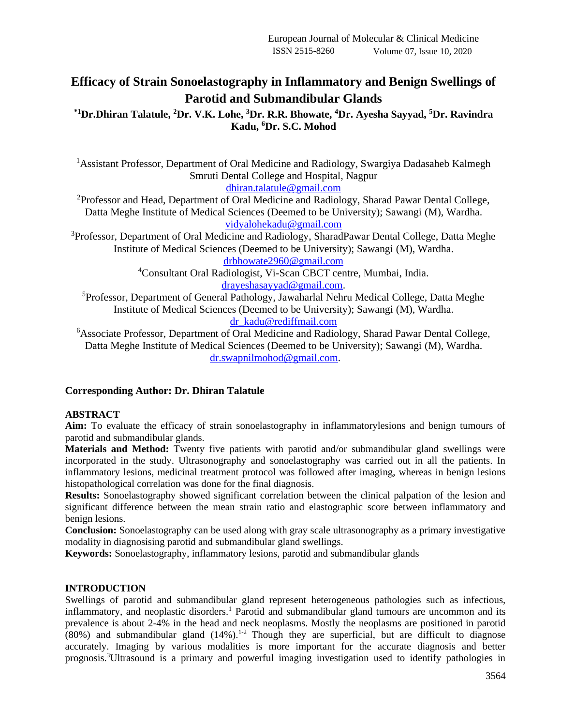# **Efficacy of Strain Sonoelastography in Inflammatory and Benign Swellings of Parotid and Submandibular Glands**

**\*1Dr.Dhiran Talatule, <sup>2</sup>Dr. V.K. Lohe, <sup>3</sup>Dr. R.R. Bhowate, <sup>4</sup>Dr. Ayesha Sayyad, <sup>5</sup>Dr. Ravindra Kadu, <sup>6</sup>Dr. S.C. Mohod**

<sup>1</sup> Assistant Professor, Department of Oral Medicine and Radiology, Swargiya Dadasaheb Kalmegh Smruti Dental College and Hospital, Nagpur

[dhiran.talatule@gmail.com](mailto:dhiran.talatule@gmail.com)

<sup>2</sup>Professor and Head, Department of Oral Medicine and Radiology, Sharad Pawar Dental College, Datta Meghe Institute of Medical Sciences (Deemed to be University); Sawangi (M), Wardha. [vidyalohekadu@gmail.com](mailto:vidyalohekadu@gmail.com)

<sup>3</sup>Professor, Department of Oral Medicine and Radiology, SharadPawar Dental College, Datta Meghe Institute of Medical Sciences (Deemed to be University); Sawangi (M), Wardha. [drbhowate2960@gmail.com](mailto:drbhowate2960@gmail.com)

<sup>4</sup>Consultant Oral Radiologist, Vi-Scan CBCT centre, Mumbai, India.

[drayeshasayyad@gmail.com.](mailto:drayeshasayyad@gmail.com)

<sup>5</sup>Professor, Department of General Pathology, Jawaharlal Nehru Medical College, Datta Meghe Institute of Medical Sciences (Deemed to be University); Sawangi (M), Wardha. [dr\\_kadu@rediffmail.com](mailto:dr_kadu@rediffmail.com)

<sup>6</sup>Associate Professor, Department of Oral Medicine and Radiology, Sharad Pawar Dental College, Datta Meghe Institute of Medical Sciences (Deemed to be University); Sawangi (M), Wardha. [dr.swapnilmohod@gmail.com.](mailto:dr.swapnilmohod@gmail.com)

# **Corresponding Author: Dr. Dhiran Talatule**

#### **ABSTRACT**

**Aim:** To evaluate the efficacy of strain sonoelastography in inflammatorylesions and benign tumours of parotid and submandibular glands.

**Materials and Method:** Twenty five patients with parotid and/or submandibular gland swellings were incorporated in the study. Ultrasonography and sonoelastography was carried out in all the patients. In inflammatory lesions, medicinal treatment protocol was followed after imaging, whereas in benign lesions histopathological correlation was done for the final diagnosis.

**Results:** Sonoelastography showed significant correlation between the clinical palpation of the lesion and significant difference between the mean strain ratio and elastographic score between inflammatory and benign lesions.

**Conclusion:** Sonoelastography can be used along with gray scale ultrasonography as a primary investigative modality in diagnosising parotid and submandibular gland swellings.

**Keywords:** Sonoelastography, inflammatory lesions, parotid and submandibular glands

#### **INTRODUCTION**

Swellings of parotid and submandibular gland represent heterogeneous pathologies such as infectious, inflammatory, and neoplastic disorders.<sup>1</sup> Parotid and submandibular gland tumours are uncommon and its prevalence is about 2-4% in the head and neck neoplasms. Mostly the neoplasms are positioned in parotid  $(80%)$  and submandibular gland  $(14%)$ .<sup>1-2</sup> Though they are superficial, but are difficult to diagnose accurately. Imaging by various modalities is more important for the accurate diagnosis and better prognosis.3Ultrasound is a primary and powerful imaging investigation used to identify pathologies in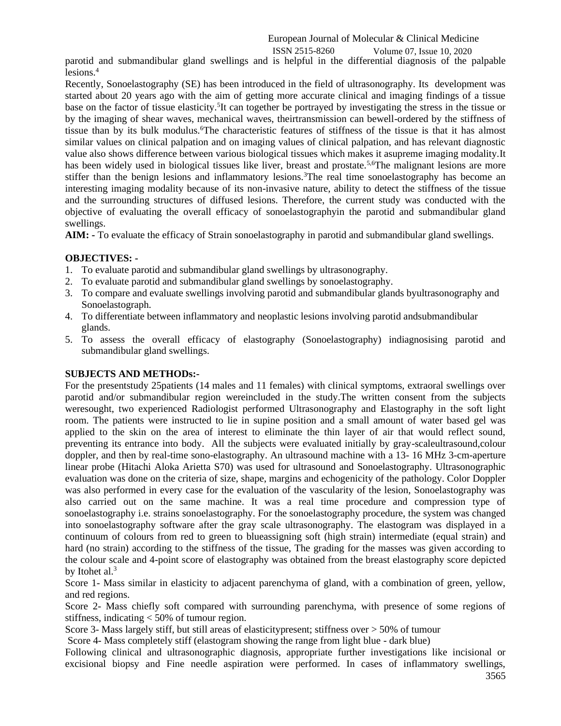## European Journal of Molecular & Clinical Medicine ISSN 2515-8260 Volume 07, Issue 10, 2020

parotid and submandibular gland swellings and is helpful in the differential diagnosis of the palpable lesions.<sup>4</sup>

Recently, Sonoelastography (SE) has been introduced in the field of ultrasonography. Its development was started about 20 years ago with the aim of getting more accurate clinical and imaging findings of a tissue base on the factor of tissue elasticity.<sup>5</sup>It can together be portrayed by investigating the stress in the tissue or by the imaging of shear waves, mechanical waves, theirtransmission can bewell-ordered by the stiffness of tissue than by its bulk modulus.<sup>6</sup>The characteristic features of stiffness of the tissue is that it has almost similar values on clinical palpation and on imaging values of clinical palpation, and has relevant diagnostic value also shows difference between various biological tissues which makes it asupreme imaging modality.It has been widely used in biological tissues like liver, breast and prostate.<sup>5,6</sup>The malignant lesions are more stiffer than the benign lesions and inflammatory lesions.<sup>3</sup>The real time sonoelastography has become an interesting imaging modality because of its non-invasive nature, ability to detect the stiffness of the tissue and the surrounding structures of diffused lesions. Therefore, the current study was conducted with the objective of evaluating the overall efficacy of sonoelastographyin the parotid and submandibular gland swellings.

**AIM: -** To evaluate the efficacy of Strain sonoelastography in parotid and submandibular gland swellings.

# **OBJECTIVES: -**

- 1. To evaluate parotid and submandibular gland swellings by ultrasonography.
- 2. To evaluate parotid and submandibular gland swellings by sonoelastography.
- 3. To compare and evaluate swellings involving parotid and submandibular glands byultrasonography and Sonoelastograph.
- 4. To differentiate between inflammatory and neoplastic lesions involving parotid andsubmandibular glands.
- 5. To assess the overall efficacy of elastography (Sonoelastography) indiagnosising parotid and submandibular gland swellings.

#### **SUBJECTS AND METHODs:-**

For the presentstudy 25patients (14 males and 11 females) with clinical symptoms, extraoral swellings over parotid and/or submandibular region wereincluded in the study.The written consent from the subjects weresought, two experienced Radiologist performed Ultrasonography and Elastography in the soft light room. The patients were instructed to lie in supine position and a small amount of water based gel was applied to the skin on the area of interest to eliminate the thin layer of air that would reflect sound, preventing its entrance into body. All the subjects were evaluated initially by gray-scaleultrasound,colour doppler, and then by real-time sono-elastography. An ultrasound machine with a 13- 16 MHz 3-cm-aperture linear probe (Hitachi Aloka Arietta S70) was used for ultrasound and Sonoelastography. Ultrasonographic evaluation was done on the criteria of size, shape, margins and echogenicity of the pathology. Color Doppler was also performed in every case for the evaluation of the vascularity of the lesion, Sonoelastography was also carried out on the same machine. It was a real time procedure and compression type of sonoelastography i.e. strains sonoelastography. For the sonoelastography procedure, the system was changed into sonoelastography software after the gray scale ultrasonography. The elastogram was displayed in a continuum of colours from red to green to blueassigning soft (high strain) intermediate (equal strain) and hard (no strain) according to the stiffness of the tissue, The grading for the masses was given according to the colour scale and 4-point score of elastography was obtained from the breast elastography score depicted by Itohet al. $3$ 

Score 1- Mass similar in elasticity to adjacent parenchyma of gland, with a combination of green, yellow, and red regions.

Score 2- Mass chiefly soft compared with surrounding parenchyma, with presence of some regions of stiffness, indicating < 50% of tumour region.

Score 3- Mass largely stiff, but still areas of elasticitypresent; stiffness over > 50% of tumour

Score 4- Mass completely stiff (elastogram showing the range from light blue - dark blue)

3565 Following clinical and ultrasonographic diagnosis, appropriate further investigations like incisional or excisional biopsy and Fine needle aspiration were performed. In cases of inflammatory swellings,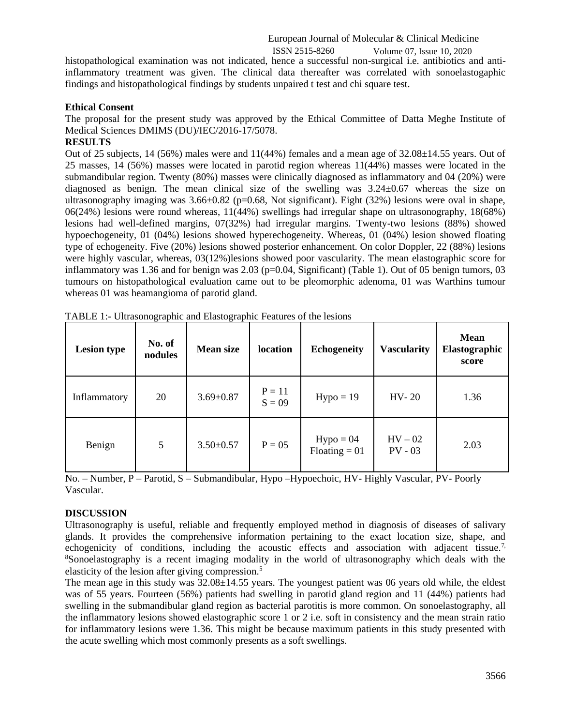European Journal of Molecular & Clinical Medicine ISSN 2515-8260 Volume 07, Issue 10, 2020

histopathological examination was not indicated, hence a successful non-surgical i.e. antibiotics and antiinflammatory treatment was given. The clinical data thereafter was correlated with sonoelastogaphic findings and histopathological findings by students unpaired t test and chi square test.

#### **Ethical Consent**

The proposal for the present study was approved by the Ethical Committee of Datta Meghe Institute of Medical Sciences DMIMS (DU)/IEC/2016-17/5078.

#### **RESULTS**

Out of 25 subjects, 14 (56%) males were and 11(44%) females and a mean age of 32.08±14.55 years. Out of 25 masses, 14 (56%) masses were located in parotid region whereas 11(44%) masses were located in the submandibular region. Twenty (80%) masses were clinically diagnosed as inflammatory and 04 (20%) were diagnosed as benign. The mean clinical size of the swelling was  $3.24 \pm 0.67$  whereas the size on ultrasonography imaging was  $3.66\pm0.82$  (p=0.68, Not significant). Eight (32%) lesions were oval in shape, 06(24%) lesions were round whereas, 11(44%) swellings had irregular shape on ultrasonography, 18(68%) lesions had well-defined margins, 07(32%) had irregular margins. Twenty-two lesions (88%) showed hypoechogeneity, 01 (04%) lesions showed hyperechogeneity. Whereas, 01 (04%) lesion showed floating type of echogeneity. Five (20%) lesions showed posterior enhancement. On color Doppler, 22 (88%) lesions were highly vascular, whereas, 03(12%)lesions showed poor vascularity. The mean elastographic score for inflammatory was 1.36 and for benign was 2.03 ( $p=0.04$ , Significant) (Table 1). Out of 05 benign tumors, 03 tumours on histopathological evaluation came out to be pleomorphic adenoma, 01 was Warthins tumour whereas 01 was heamangioma of parotid gland.

| <b>Lesion type</b> | No. of<br>nodules | <b>Mean size</b> | location             | <b>Echogeneity</b>             | <b>Vascularity</b>     | <b>Mean</b><br>Elastographic<br>score |
|--------------------|-------------------|------------------|----------------------|--------------------------------|------------------------|---------------------------------------|
| Inflammatory       | 20                | $3.69 \pm 0.87$  | $P = 11$<br>$S = 09$ | $Hypo = 19$                    | $HV-20$                | 1.36                                  |
| Benign             | 5                 | $3.50 \pm 0.57$  | $P = 05$             | $Hypo = 04$<br>$Floating = 01$ | $HV - 02$<br>$PV - 03$ | 2.03                                  |

TABLE 1:- Ultrasonographic and Elastographic Features of the lesions

No. – Number, P – Parotid, S – Submandibular, Hypo –Hypoechoic, HV- Highly Vascular, PV- Poorly Vascular.

#### **DISCUSSION**

Ultrasonography is useful, reliable and frequently employed method in diagnosis of diseases of salivary glands. It provides the comprehensive information pertaining to the exact location size, shape, and echogenicity of conditions, including the acoustic effects and association with adjacent tissue.<sup>7,</sup> <sup>8</sup>Sonoelastography is a recent imaging modality in the world of ultrasonography which deals with the elasticity of the lesion after giving compression.<sup>5</sup>

The mean age in this study was  $32.08\pm14.55$  years. The youngest patient was 06 years old while, the eldest was of 55 years. Fourteen (56%) patients had swelling in parotid gland region and 11 (44%) patients had swelling in the submandibular gland region as bacterial parotitis is more common. On sonoelastography, all the inflammatory lesions showed elastographic score 1 or 2 i.e. soft in consistency and the mean strain ratio for inflammatory lesions were 1.36. This might be because maximum patients in this study presented with the acute swelling which most commonly presents as a soft swellings.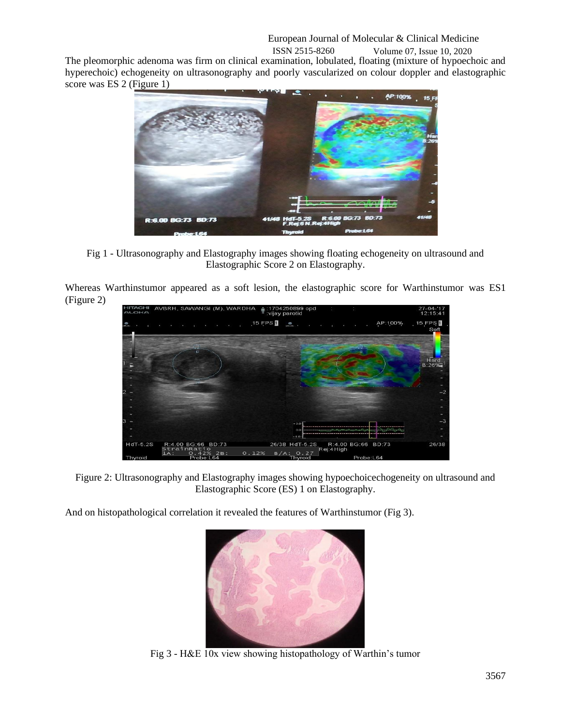The pleomorphic adenoma was firm on clinical examination, lobulated, floating (mixture of hypoechoic and hyperechoic) echogeneity on ultrasonography and poorly vascularized on colour doppler and elastographic score was ES 2 (Figure 1)



Fig 1 - Ultrasonography and Elastography images showing floating echogeneity on ultrasound and Elastographic Score 2 on Elastography.

Whereas Warthinstumor appeared as a soft lesion, the elastographic score for Warthinstumor was ES1 (Figure 2)



Figure 2: Ultrasonography and Elastography images showing hypoechoicechogeneity on ultrasound and Elastographic Score (ES) 1 on Elastography.

And on histopathological correlation it revealed the features of Warthinstumor (Fig 3).



Fig 3 - H&E 10x view showing histopathology of Warthin's tumor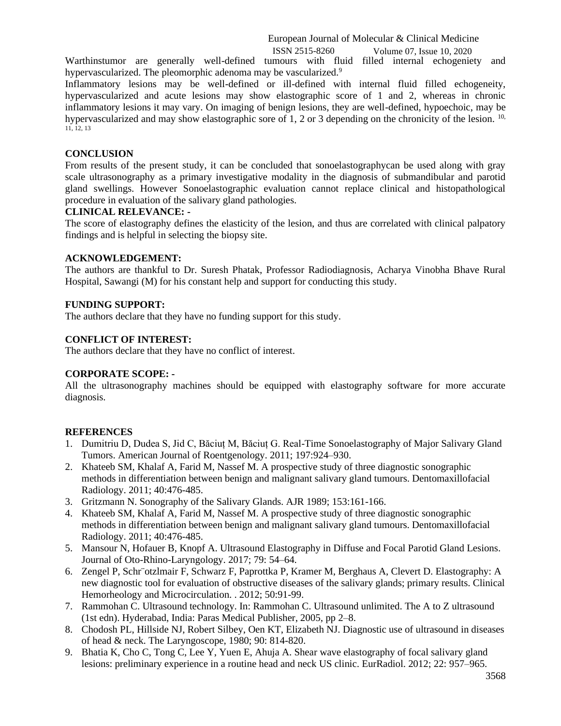European Journal of Molecular & Clinical Medicine

ISSN 2515-8260 Volume 07, Issue 10, 2020

Warthinstumor are generally well-defined tumours with fluid filled internal echogeniety and hypervascularized. The pleomorphic adenoma may be vascularized.<sup>9</sup>

Inflammatory lesions may be well-defined or ill-defined with internal fluid filled echogeneity, hypervascularized and acute lesions may show elastographic score of 1 and 2, whereas in chronic inflammatory lesions it may vary. On imaging of benign lesions, they are well-defined, hypoechoic, may be hypervascularized and may show elastographic sore of 1, 2 or 3 depending on the chronicity of the lesion.  $10$ , 11, 12, 13

#### **CONCLUSION**

From results of the present study, it can be concluded that sonoelastographycan be used along with gray scale ultrasonography as a primary investigative modality in the diagnosis of submandibular and parotid gland swellings. However Sonoelastographic evaluation cannot replace clinical and histopathological procedure in evaluation of the salivary gland pathologies.

#### **CLINICAL RELEVANCE: -**

The score of elastography defines the elasticity of the lesion, and thus are correlated with clinical palpatory findings and is helpful in selecting the biopsy site.

#### **ACKNOWLEDGEMENT:**

The authors are thankful to Dr. Suresh Phatak, Professor Radiodiagnosis, Acharya Vinobha Bhave Rural Hospital, Sawangi (M) for his constant help and support for conducting this study.

#### **FUNDING SUPPORT:**

The authors declare that they have no funding support for this study.

#### **CONFLICT OF INTEREST:**

The authors declare that they have no conflict of interest.

## **CORPORATE SCOPE: -**

All the ultrasonography machines should be equipped with elastography software for more accurate diagnosis.

#### **REFERENCES**

- 1. Dumitriu D, Dudea S, Jid C, Băciuț M, Băciuț G. Real-Time Sonoelastography of Major Salivary Gland Tumors. American Journal of Roentgenology. 2011; 197:924–930.
- 2. Khateeb SM, Khalaf A, Farid M, Nassef M. A prospective study of three diagnostic sonographic methods in differentiation between benign and malignant salivary gland tumours. Dentomaxillofacial Radiology. 2011; 40:476-485.
- 3. Gritzmann N. Sonography of the Salivary Glands. AJR 1989; 153:161-166.
- 4. Khateeb SM, Khalaf A, Farid M, Nassef M. A prospective study of three diagnostic sonographic methods in differentiation between benign and malignant salivary gland tumours. Dentomaxillofacial Radiology. 2011; 40:476-485.
- 5. Mansour N, Hofauer B, Knopf A. Ultrasound Elastography in Diffuse and Focal Parotid Gland Lesions. Journal of Oto-Rhino-Laryngology. 2017; 79: 54–64.
- 6. Zengel P, Schr¨otzlmair F, Schwarz F, Paprottka P, Kramer M, Berghaus A, Clevert D. Elastography: A new diagnostic tool for evaluation of obstructive diseases of the salivary glands; primary results. Clinical Hemorheology and Microcirculation. . 2012; 50:91-99.
- 7. Rammohan C. Ultrasound technology. In: Rammohan C. Ultrasound unlimited. The A to Z ultrasound (1st edn). Hyderabad, India: Paras Medical Publisher, 2005, pp 2–8.
- 8. Chodosh PL, Hillside NJ, Robert Silbey, Oen KT, Elizabeth NJ. Diagnostic use of ultrasound in diseases of head & neck. The Laryngoscope, 1980; 90: 814-820.
- 9. Bhatia K, Cho C, Tong C, Lee Y, Yuen E, Ahuja A. Shear wave elastography of focal salivary gland lesions: preliminary experience in a routine head and neck US clinic. EurRadiol. 2012; 22: 957–965.